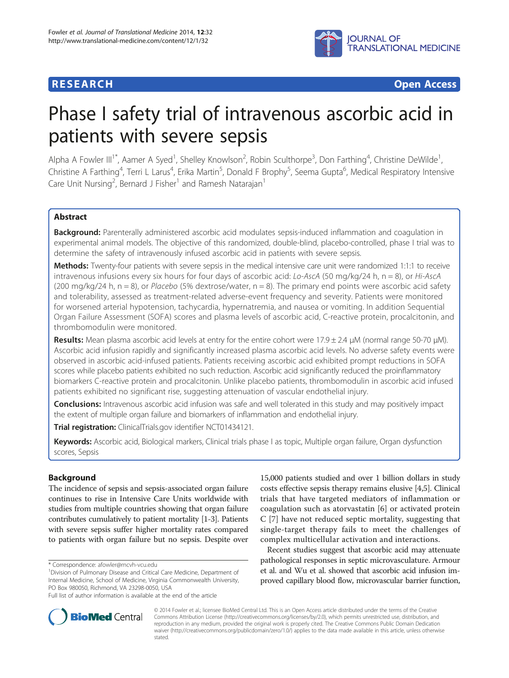# **JOURNAL OF TRANSLATIONAL MEDICINE**

# **RESEARCH CHINESE ARCH CHINESE ARCH CHINESE ARCH <b>CHINESE ARCH**

# Phase I safety trial of intravenous ascorbic acid in patients with severe sepsis

Alpha A Fowler III<sup>1\*</sup>, Aamer A Syed<sup>1</sup>, Shelley Knowlson<sup>2</sup>, Robin Sculthorpe<sup>3</sup>, Don Farthing<sup>4</sup>, Christine DeWilde<sup>1</sup> , Christine A Farthing<sup>4</sup>, Terri L Larus<sup>4</sup>, Erika Martin<sup>5</sup>, Donald F Brophy<sup>5</sup>, Seema Gupta<sup>6</sup>, Medical Respiratory Intensive Care Unit Nursing<sup>2</sup>, Bernard J Fisher<sup>1</sup> and Ramesh Natarajan<sup>1</sup>

# Abstract

**Background:** Parenterally administered ascorbic acid modulates sepsis-induced inflammation and coagulation in experimental animal models. The objective of this randomized, double-blind, placebo-controlled, phase I trial was to determine the safety of intravenously infused ascorbic acid in patients with severe sepsis.

Methods: Twenty-four patients with severe sepsis in the medical intensive care unit were randomized 1:1:1 to receive intravenous infusions every six hours for four days of ascorbic acid: Lo-AscA (50 mg/kg/24 h,  $n = 8$ ), or Hi-AscA (200 mg/kg/24 h,  $n = 8$ ), or *Placebo* (5% dextrose/water,  $n = 8$ ). The primary end points were ascorbic acid safety and tolerability, assessed as treatment-related adverse-event frequency and severity. Patients were monitored for worsened arterial hypotension, tachycardia, hypernatremia, and nausea or vomiting. In addition Sequential Organ Failure Assessment (SOFA) scores and plasma levels of ascorbic acid, C-reactive protein, procalcitonin, and thrombomodulin were monitored.

Results: Mean plasma ascorbic acid levels at entry for the entire cohort were 17.9  $\pm$  2.4 μM (normal range 50-70 μM). Ascorbic acid infusion rapidly and significantly increased plasma ascorbic acid levels. No adverse safety events were observed in ascorbic acid-infused patients. Patients receiving ascorbic acid exhibited prompt reductions in SOFA scores while placebo patients exhibited no such reduction. Ascorbic acid significantly reduced the proinflammatory biomarkers C-reactive protein and procalcitonin. Unlike placebo patients, thrombomodulin in ascorbic acid infused patients exhibited no significant rise, suggesting attenuation of vascular endothelial injury.

**Conclusions:** Intravenous ascorbic acid infusion was safe and well tolerated in this study and may positively impact the extent of multiple organ failure and biomarkers of inflammation and endothelial injury.

Trial registration: ClinicalTrials.gov identifier [NCT01434121](http://clinicaltrials.gov/ct2/show/NCT01434121?term=ascorbic+acid+sepsis&rank=1).

Keywords: Ascorbic acid, Biological markers, Clinical trials phase I as topic, Multiple organ failure, Organ dysfunction scores, Sepsis

# Background

The incidence of sepsis and sepsis-associated organ failure continues to rise in Intensive Care Units worldwide with studies from multiple countries showing that organ failure contributes cumulatively to patient mortality [[1](#page-8-0)-[3](#page-8-0)]. Patients with severe sepsis suffer higher mortality rates compared to patients with organ failure but no sepsis. Despite over

\* Correspondence: [afowler@mcvh-vcu.edu](mailto:afowler@mcvh-vcu.edu) <sup>1</sup>

15,000 patients studied and over 1 billion dollars in study costs effective sepsis therapy remains elusive [[4,5](#page-8-0)]. Clinical trials that have targeted mediators of inflammation or coagulation such as atorvastatin [[6](#page-8-0)] or activated protein C [[7\]](#page-8-0) have not reduced septic mortality, suggesting that single-target therapy fails to meet the challenges of complex multicellular activation and interactions.

Recent studies suggest that ascorbic acid may attenuate pathological responses in septic microvasculature. Armour et al. and Wu et al. showed that ascorbic acid infusion improved capillary blood flow, microvascular barrier function,



© 2014 Fowler et al.; licensee BioMed Central Ltd. This is an Open Access article distributed under the terms of the Creative Commons Attribution License [\(http://creativecommons.org/licenses/by/2.0\)](http://creativecommons.org/licenses/by/2.0), which permits unrestricted use, distribution, and reproduction in any medium, provided the original work is properly cited. The Creative Commons Public Domain Dedication waiver [\(http://creativecommons.org/publicdomain/zero/1.0/\)](http://creativecommons.org/publicdomain/zero/1.0/) applies to the data made available in this article, unless otherwise stated.

<sup>&</sup>lt;sup>1</sup> Division of Pulmonary Disease and Critical Care Medicine, Department of Internal Medicine, School of Medicine, Virginia Commonwealth University, PO Box 980050, Richmond, VA 23298-0050, USA

Full list of author information is available at the end of the article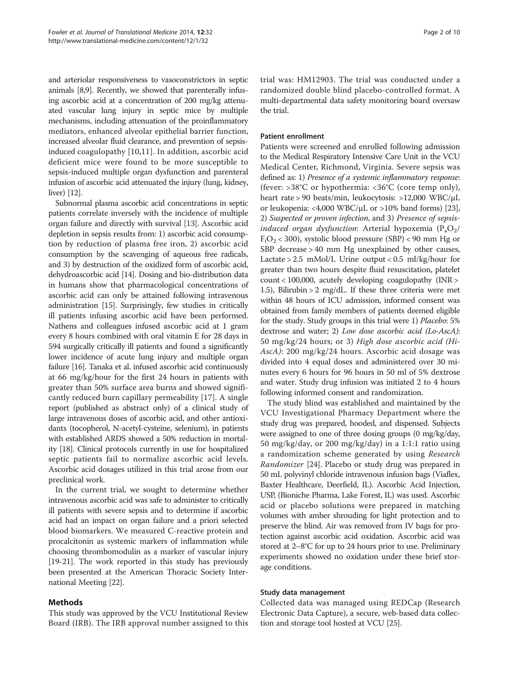and arteriolar responsiveness to vasoconstrictors in septic animals [\[8,9\]](#page-8-0). Recently, we showed that parenterally infusing ascorbic acid at a concentration of 200 mg/kg attenuated vascular lung injury in septic mice by multiple mechanisms, including attenuation of the proinflammatory mediators, enhanced alveolar epithelial barrier function, increased alveolar fluid clearance, and prevention of sepsisinduced coagulopathy [[10,11\]](#page-8-0). In addition, ascorbic acid deficient mice were found to be more susceptible to sepsis-induced multiple organ dysfunction and parenteral infusion of ascorbic acid attenuated the injury (lung, kidney, liver) [\[12\]](#page-8-0).

Subnormal plasma ascorbic acid concentrations in septic patients correlate inversely with the incidence of multiple organ failure and directly with survival [\[13\]](#page-8-0). Ascorbic acid depletion in sepsis results from: 1) ascorbic acid consumption by reduction of plasma free iron, 2) ascorbic acid consumption by the scavenging of aqueous free radicals, and 3) by destruction of the oxidized form of ascorbic acid, dehydroascorbic acid [\[14\]](#page-8-0). Dosing and bio-distribution data in humans show that pharmacological concentrations of ascorbic acid can only be attained following intravenous administration [\[15\]](#page-8-0). Surprisingly, few studies in critically ill patients infusing ascorbic acid have been performed. Nathens and colleagues infused ascorbic acid at 1 gram every 8 hours combined with oral vitamin E for 28 days in 594 surgically critically ill patients and found a significantly lower incidence of acute lung injury and multiple organ failure [\[16](#page-8-0)]. Tanaka et al. infused ascorbic acid continuously at 66 mg/kg/hour for the first 24 hours in patients with greater than 50% surface area burns and showed significantly reduced burn capillary permeability [[17](#page-8-0)]. A single report (published as abstract only) of a clinical study of large intravenous doses of ascorbic acid, and other antioxidants (tocopherol, N-acetyl-cysteine, selenium), in patients with established ARDS showed a 50% reduction in mortality [[18](#page-8-0)]. Clinical protocols currently in use for hospitalized septic patients fail to normalize ascorbic acid levels. Ascorbic acid dosages utilized in this trial arose from our preclinical work.

In the current trial, we sought to determine whether intravenous ascorbic acid was safe to administer to critically ill patients with severe sepsis and to determine if ascorbic acid had an impact on organ failure and a priori selected blood biomarkers. We measured C-reactive protein and procalcitonin as systemic markers of inflammation while choosing thrombomodulin as a marker of vascular injury [[19](#page-8-0)-[21\]](#page-8-0). The work reported in this study has previously been presented at the American Thoracic Society International Meeting [[22](#page-8-0)].

# Methods

This study was approved by the VCU Institutional Review Board (IRB). The IRB approval number assigned to this trial was: HM12903. The trial was conducted under a randomized double blind placebo-controlled format. A multi-departmental data safety monitoring board oversaw the trial.

# Patient enrollment

Patients were screened and enrolled following admission to the Medical Respiratory Intensive Care Unit in the VCU Medical Center, Richmond, Virginia. Severe sepsis was defined as: 1) Presence of a systemic inflammatory response: (fever: >38°C or hypothermia: <36°C (core temp only), heart rate > 90 beats/min, leukocytosis: >12,000 WBC/μL or leukopenia: <4,000 WBC/ $\mu$ L or >10% band forms) [[23](#page-9-0)], 2) Suspected or proven infection, and 3) Presence of sepsis*induced organ dysfunction*: Arterial hypoxemia  $(P_aO_2)$  $F_1O_2$  < 300), systolic blood pressure (SBP) < 90 mm Hg or SBP decrease > 40 mm Hg unexplained by other causes, Lactate >  $2.5 \text{ mMol/L}$  Urine output < 0.5 ml/kg/hour for greater than two hours despite fluid resuscitation, platelet count < 100,000, acutely developing coagulopathy (INR > 1.5), Bilirubin > 2 mg/dL. If these three criteria were met within 48 hours of ICU admission, informed consent was obtained from family members of patients deemed eligible for the study. Study groups in this trial were 1) Placebo: 5% dextrose and water; 2) Low dose ascorbic acid (Lo-AscA): 50 mg/kg/24 hours; or 3) High dose ascorbic acid (Hi-AscA): 200 mg/kg/24 hours. Ascorbic acid dosage was divided into 4 equal doses and administered over 30 minutes every 6 hours for 96 hours in 50 ml of 5% dextrose and water. Study drug infusion was initiated 2 to 4 hours following informed consent and randomization.

The study blind was established and maintained by the VCU Investigational Pharmacy Department where the study drug was prepared, hooded, and dispensed. Subjects were assigned to one of three dosing groups (0 mg/kg/day, 50 mg/kg/day, or 200 mg/kg/day) in a 1:1:1 ratio using a randomization scheme generated by using Research Randomizer [\[24\]](#page-9-0). Placebo or study drug was prepared in 50 mL polyvinyl chloride intravenous infusion bags (Viaflex, Baxter Healthcare, Deerfield, IL). Ascorbic Acid Injection, USP, (Bioniche Pharma, Lake Forest, IL) was used. Ascorbic acid or placebo solutions were prepared in matching volumes with amber shrouding for light protection and to preserve the blind. Air was removed from IV bags for protection against ascorbic acid oxidation. Ascorbic acid was stored at 2–8°C for up to 24 hours prior to use. Preliminary experiments showed no oxidation under these brief storage conditions.

# Study data management

Collected data was managed using REDCap (Research Electronic Data Capture), a secure, web-based data collection and storage tool hosted at VCU [[25](#page-9-0)].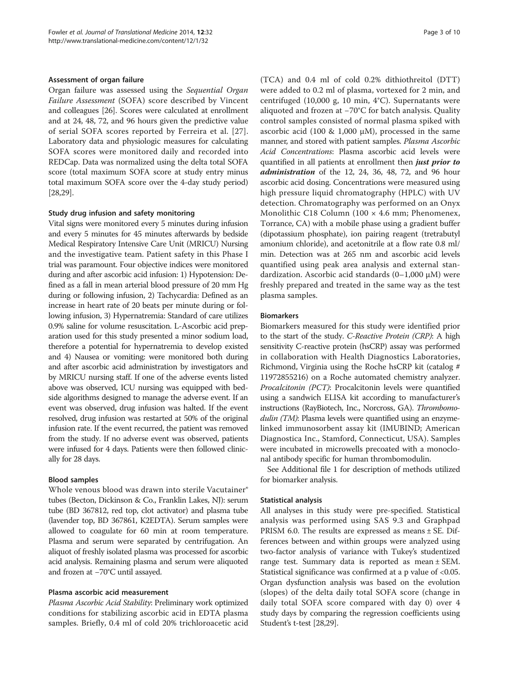# Assessment of organ failure

Organ failure was assessed using the Sequential Organ Failure Assessment (SOFA) score described by Vincent and colleagues [\[26\]](#page-9-0). Scores were calculated at enrollment and at 24, 48, 72, and 96 hours given the predictive value of serial SOFA scores reported by Ferreira et al. [[27](#page-9-0)]. Laboratory data and physiologic measures for calculating SOFA scores were monitored daily and recorded into REDCap. Data was normalized using the delta total SOFA score (total maximum SOFA score at study entry minus total maximum SOFA score over the 4-day study period) [[28,29](#page-9-0)].

#### Study drug infusion and safety monitoring

Vital signs were monitored every 5 minutes during infusion and every 5 minutes for 45 minutes afterwards by bedside Medical Respiratory Intensive Care Unit (MRICU) Nursing and the investigative team. Patient safety in this Phase I trial was paramount. Four objective indices were monitored during and after ascorbic acid infusion: 1) Hypotension: Defined as a fall in mean arterial blood pressure of 20 mm Hg during or following infusion, 2) Tachycardia: Defined as an increase in heart rate of 20 beats per minute during or following infusion, 3) Hypernatremia: Standard of care utilizes 0.9% saline for volume resuscitation. L-Ascorbic acid preparation used for this study presented a minor sodium load, therefore a potential for hypernatremia to develop existed and 4) Nausea or vomiting: were monitored both during and after ascorbic acid administration by investigators and by MRICU nursing staff. If one of the adverse events listed above was observed, ICU nursing was equipped with bedside algorithms designed to manage the adverse event. If an event was observed, drug infusion was halted. If the event resolved, drug infusion was restarted at 50% of the original infusion rate. If the event recurred, the patient was removed from the study. If no adverse event was observed, patients were infused for 4 days. Patients were then followed clinically for 28 days.

# Blood samples

Whole venous blood was drawn into sterile Vacutainer® tubes (Becton, Dickinson & Co., Franklin Lakes, NJ): serum tube (BD 367812, red top, clot activator) and plasma tube (lavender top, BD 367861, K2EDTA). Serum samples were allowed to coagulate for 60 min at room temperature. Plasma and serum were separated by centrifugation. An aliquot of freshly isolated plasma was processed for ascorbic acid analysis. Remaining plasma and serum were aliquoted and frozen at −70°C until assayed.

#### Plasma ascorbic acid measurement

Plasma Ascorbic Acid Stability: Preliminary work optimized conditions for stabilizing ascorbic acid in EDTA plasma samples. Briefly, 0.4 ml of cold 20% trichloroacetic acid (TCA) and 0.4 ml of cold 0.2% dithiothreitol (DTT) were added to 0.2 ml of plasma, vortexed for 2 min, and centrifuged (10,000 g, 10 min, 4°C). Supernatants were aliquoted and frozen at −70°C for batch analysis. Quality control samples consisted of normal plasma spiked with ascorbic acid (100 & 1,000 μM), processed in the same manner, and stored with patient samples. *Plasma Ascorbic* Acid Concentrations: Plasma ascorbic acid levels were quantified in all patients at enrollment then *just prior to* administration of the 12, 24, 36, 48, 72, and 96 hour ascorbic acid dosing. Concentrations were measured using high pressure liquid chromatography (HPLC) with UV detection. Chromatography was performed on an Onyx Monolithic C18 Column (100 × 4.6 mm; Phenomenex, Torrance, CA) with a mobile phase using a gradient buffer (dipotassium phosphate), ion pairing reagent (tretrabutyl amonium chloride), and acetonitrile at a flow rate 0.8 ml/ min. Detection was at 265 nm and ascorbic acid levels quantified using peak area analysis and external standardization. Ascorbic acid standards  $(0-1,000 \mu M)$  were freshly prepared and treated in the same way as the test plasma samples.

### Biomarkers

Biomarkers measured for this study were identified prior to the start of the study. C-Reactive Protein (CRP): A high sensitivity C-reactive protein (hsCRP) assay was performed in collaboration with Health Diagnostics Laboratories, Richmond, Virginia using the Roche hsCRP kit (catalog # 11972855216) on a Roche automated chemistry analyzer. Procalcitonin (PCT): Procalcitonin levels were quantified using a sandwich ELISA kit according to manufacturer's instructions (RayBiotech, Inc., Norcross, GA). Thrombomodulin (TM): Plasma levels were quantified using an enzymelinked immunosorbent assay kit (IMUBIND; American Diagnostica Inc., Stamford, Connecticut, USA). Samples were incubated in microwells precoated with a monoclonal antibody specific for human thrombomodulin.

See Additional file [1](#page-7-0) for description of methods utilized for biomarker analysis.

#### Statistical analysis

All analyses in this study were pre-specified. Statistical analysis was performed using SAS 9.3 and Graphpad PRISM 6.0. The results are expressed as means ± SE. Differences between and within groups were analyzed using two-factor analysis of variance with Tukey's studentized range test. Summary data is reported as mean ± SEM. Statistical significance was confirmed at a p value of <0.05. Organ dysfunction analysis was based on the evolution (slopes) of the delta daily total SOFA score (change in daily total SOFA score compared with day 0) over 4 study days by comparing the regression coefficients using Student's t-test [[28,29\]](#page-9-0).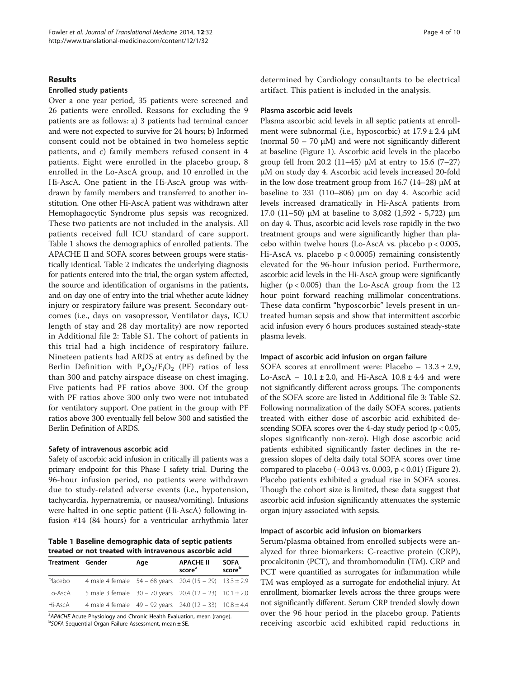# Results

## Enrolled study patients

Over a one year period, 35 patients were screened and 26 patients were enrolled. Reasons for excluding the 9 patients are as follows: a) 3 patients had terminal cancer and were not expected to survive for 24 hours; b) Informed consent could not be obtained in two homeless septic patients, and c) family members refused consent in 4 patients. Eight were enrolled in the placebo group, 8 enrolled in the Lo-AscA group, and 10 enrolled in the Hi-AscA. One patient in the Hi-AscA group was withdrawn by family members and transferred to another institution. One other Hi-AscA patient was withdrawn after Hemophagocytic Syndrome plus sepsis was recognized. These two patients are not included in the analysis. All patients received full ICU standard of care support. Table 1 shows the demographics of enrolled patients. The APACHE II and SOFA scores between groups were statistically identical. Table [2](#page-4-0) indicates the underlying diagnosis for patients entered into the trial, the organ system affected, the source and identification of organisms in the patients, and on day one of entry into the trial whether acute kidney injury or respiratory failure was present. Secondary outcomes (i.e., days on vasopressor, Ventilator days, ICU length of stay and 28 day mortality) are now reported in Additional file [2](#page-8-0): Table S1. The cohort of patients in this trial had a high incidence of respiratory failure. Nineteen patients had ARDS at entry as defined by the Berlin Definition with  $P_aO_2/F_iO_2$  (PF) ratios of less than 300 and patchy airspace disease on chest imaging. Five patients had PF ratios above 300. Of the group with PF ratios above 300 only two were not intubated for ventilatory support. One patient in the group with PF ratios above 300 eventually fell below 300 and satisfied the Berlin Definition of ARDS.

#### Safety of intravenous ascorbic acid

Safety of ascorbic acid infusion in critically ill patients was a primary endpoint for this Phase I safety trial. During the 96-hour infusion period, no patients were withdrawn due to study-related adverse events (i.e., hypotension, tachycardia, hypernatremia, or nausea/vomiting). Infusions were halted in one septic patient (Hi-AscA) following infusion #14 (84 hours) for a ventricular arrhythmia later

Table 1 Baseline demographic data of septic patients treated or not treated with intravenous ascorbic acid

| <b>Treatment Gender</b> |                                                                 | Age | <b>APACHE II</b><br>score <sup>a</sup> | <b>SOFA</b><br>scoreb |
|-------------------------|-----------------------------------------------------------------|-----|----------------------------------------|-----------------------|
| Placebo                 | 4 male 4 female $54 - 68$ years $20.4 (15 - 29)$ $13.3 \pm 2.9$ |     |                                        |                       |
| Lo-AscA                 | 5 male 3 female $30 - 70$ years $20.4$ (12 - 23) $10.1 \pm 2.0$ |     |                                        |                       |
| Hi-AscA                 | 4 male 4 female $49 - 92$ years $24.0$ (12 - 33) $10.8 \pm 4.4$ |     |                                        |                       |

<sup>a</sup> APACHE Acute Physiology and Chronic Health Evaluation, mean (range).<br><sup>b</sup>SOEA Sequential Organ Eailure Assessment, mean + SE  $^{b}$ SOFA Sequential Organ Failure Assessment, mean  $\pm$  SE.

determined by Cardiology consultants to be electrical artifact. This patient is included in the analysis.

# Plasma ascorbic acid levels

Plasma ascorbic acid levels in all septic patients at enrollment were subnormal (i.e., hyposcorbic) at  $17.9 \pm 2.4 \mu M$ (normal 50 – 70  $\mu$ M) and were not significantly different at baseline (Figure [1\)](#page-5-0). Ascorbic acid levels in the placebo group fell from 20.2 (11–45) μM at entry to 15.6 (7–27) μM on study day 4. Ascorbic acid levels increased 20-fold in the low dose treatment group from 16.7 (14–28)  $\mu$ M at baseline to 331 (110–806) μm on day 4. Ascorbic acid levels increased dramatically in Hi-AscA patients from 17.0 (11–50) μM at baseline to 3,082 (1,592 - 5,722) μm on day 4. Thus, ascorbic acid levels rose rapidly in the two treatment groups and were significantly higher than placebo within twelve hours (Lo-AscA vs. placebo p < 0.005, Hi-AscA vs. placebo p < 0.0005) remaining consistently elevated for the 96-hour infusion period. Furthermore, ascorbic acid levels in the Hi-AscA group were significantly higher  $(p < 0.005)$  than the Lo-AscA group from the 12 hour point forward reaching millimolar concentrations. These data confirm "hyposcorbic" levels present in untreated human sepsis and show that intermittent ascorbic acid infusion every 6 hours produces sustained steady-state plasma levels.

# Impact of ascorbic acid infusion on organ failure

SOFA scores at enrollment were: Placebo  $-13.3 \pm 2.9$ , Lo-AscA –  $10.1 \pm 2.0$ , and Hi-AscA  $10.8 \pm 4.4$  and were not significantly different across groups. The components of the SOFA score are listed in Additional file [3](#page-8-0): Table S2. Following normalization of the daily SOFA scores, patients treated with either dose of ascorbic acid exhibited descending SOFA scores over the 4-day study period ( $p < 0.05$ , slopes significantly non-zero). High dose ascorbic acid patients exhibited significantly faster declines in the regression slopes of delta daily total SOFA scores over time compared to placebo (−0.043 vs. 0.003, p < 0.01) (Figure [2](#page-5-0)). Placebo patients exhibited a gradual rise in SOFA scores. Though the cohort size is limited, these data suggest that ascorbic acid infusion significantly attenuates the systemic organ injury associated with sepsis.

# Impact of ascorbic acid infusion on biomarkers

Serum/plasma obtained from enrolled subjects were analyzed for three biomarkers: C-reactive protein (CRP), procalcitonin (PCT), and thrombomodulin (TM). CRP and PCT were quantified as surrogates for inflammation while TM was employed as a surrogate for endothelial injury. At enrollment, biomarker levels across the three groups were not significantly different. Serum CRP trended slowly down over the 96 hour period in the placebo group. Patients receiving ascorbic acid exhibited rapid reductions in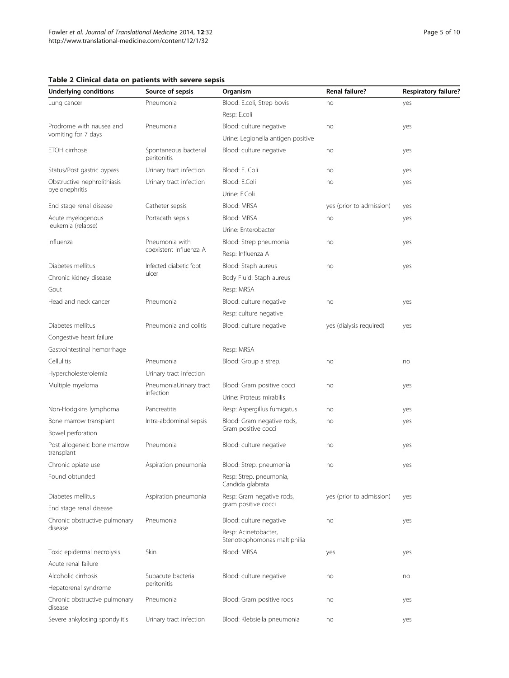# <span id="page-4-0"></span>Table 2 Clinical data on patients with severe sepsis

| <b>Underlying conditions</b>              | Source of sepsis                     | Organism                                        | <b>Renal failure?</b>    | Respiratory failure? |
|-------------------------------------------|--------------------------------------|-------------------------------------------------|--------------------------|----------------------|
| Lung cancer                               | Pneumonia                            | Blood: E.coli, Strep bovis                      | no                       | yes                  |
|                                           |                                      | Resp: E.coli                                    |                          |                      |
| Prodrome with nausea and                  | Pneumonia                            | Blood: culture negative                         | no                       | yes                  |
| vomiting for 7 days                       |                                      | Urine: Legionella antigen positive              |                          |                      |
| ETOH cirrhosis                            | Spontaneous bacterial<br>peritonitis | Blood: culture negative                         | no                       | yes                  |
| Status/Post gastric bypass                | Urinary tract infection              | Blood: E. Coli                                  | no                       | yes                  |
| Obstructive nephrolithiasis               | Urinary tract infection              | Blood: E.Coli                                   | no                       | yes                  |
| pyelonephritis                            |                                      | Urine: E.Coli                                   |                          |                      |
| End stage renal disease                   | Catheter sepsis                      | Blood: MRSA                                     | yes (prior to admission) | yes                  |
| Acute myelogenous                         | Portacath sepsis                     | Blood: MRSA                                     | no                       | yes                  |
| leukemia (relapse)                        |                                      | Urine: Enterobacter                             |                          |                      |
| Influenza                                 | Pneumonia with                       | Blood: Strep pneumonia                          | no                       | yes                  |
|                                           | coexistent Influenza A               | Resp: Influenza A                               |                          |                      |
| Diabetes mellitus                         | Infected diabetic foot               | Blood: Staph aureus                             | no                       | yes                  |
| Chronic kidney disease                    | ulcer                                | Body Fluid: Staph aureus                        |                          |                      |
| Gout                                      |                                      | Resp: MRSA                                      |                          |                      |
| Head and neck cancer                      | Pneumonia                            | Blood: culture negative                         | no                       | yes                  |
|                                           |                                      | Resp: culture negative                          |                          |                      |
| Diabetes mellitus                         | Pneumonia and colitis                | Blood: culture negative                         | yes (dialysis required)  | yes                  |
| Congestive heart failure                  |                                      |                                                 |                          |                      |
| Gastrointestinal hemorrhage               |                                      | Resp: MRSA                                      |                          |                      |
| Cellulitis                                | Pneumonia                            | Blood: Group a strep.                           | no                       | no                   |
| Hypercholesterolemia                      | Urinary tract infection              |                                                 |                          |                      |
| Multiple myeloma                          | PneumoniaUrinary tract               | Blood: Gram positive cocci                      | no                       | yes                  |
|                                           | infection                            | Urine: Proteus mirabilis                        |                          |                      |
| Non-Hodgkins lymphoma                     | Pancreatitis                         | Resp: Aspergillus fumigatus                     | no                       | yes                  |
| Bone marrow transplant                    | Intra-abdominal sepsis               | Blood: Gram negative rods,                      | no                       | yes                  |
| Bowel perforation                         |                                      | Gram positive cocci                             |                          |                      |
| Post allogeneic bone marrow<br>transplant | Pneumonia                            | Blood: culture negative                         | no                       | yes                  |
| Chronic opiate use                        | Aspiration pneumonia                 | Blood: Strep. pneumonia                         | no                       | yes                  |
| Found obtunded                            |                                      | Resp: Strep. pneumonia,<br>Candida glabrata     |                          |                      |
| Diabetes mellitus                         | Aspiration pneumonia                 | Resp: Gram negative rods,                       | yes (prior to admission) | yes                  |
| End stage renal disease                   |                                      | gram positive cocci                             |                          |                      |
| Chronic obstructive pulmonary<br>disease  | Pneumonia                            | Blood: culture negative<br>Resp: Acinetobacter, | no                       | yes                  |
|                                           |                                      | Stenotrophomonas maltiphilia                    |                          |                      |
| Toxic epidermal necrolysis                | Skin                                 | Blood: MRSA                                     | yes                      | yes                  |
| Acute renal failure                       |                                      |                                                 |                          |                      |
| Alcoholic cirrhosis                       | Subacute bacterial                   | Blood: culture negative                         | no                       | no                   |
| Hepatorenal syndrome                      | peritonitis                          |                                                 |                          |                      |
| Chronic obstructive pulmonary<br>disease  | Pneumonia                            | Blood: Gram positive rods                       | no                       | yes                  |
| Severe ankylosing spondylitis             | Urinary tract infection              | Blood: Klebsiella pneumonia                     | no                       | yes                  |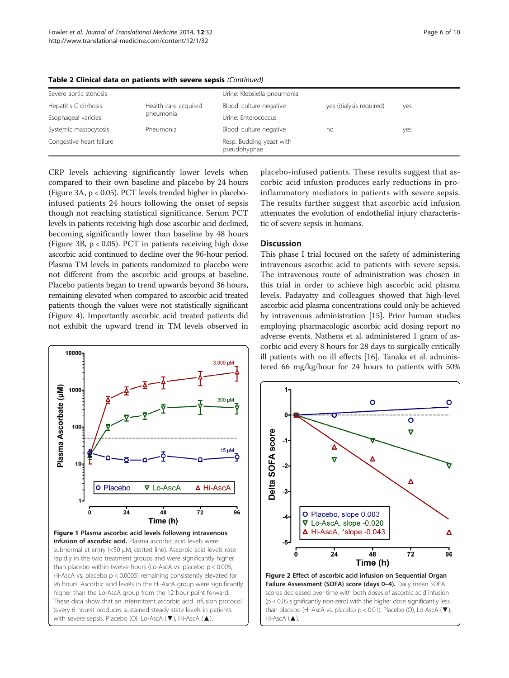| Page 6 c |  |
|----------|--|

| Severe aortic stenosis   |                      | Urine: Klebsiella pneumonia              |                         |     |
|--------------------------|----------------------|------------------------------------------|-------------------------|-----|
| Hepatitis C cirrhosis    | Health care acquired | Blood: culture negative                  | yes (dialysis required) | yes |
| Esophageal varicies      | pneumonia            | Urine: Enterococcus                      |                         |     |
| Systemic mastocytosis    | Pneumonia            | Blood: culture negative                  | no                      | yes |
| Congestive heart failure |                      | Resp: Budding yeast with<br>pseudohyphae |                         |     |

<span id="page-5-0"></span>Table 2 Clinical data on patients with severe sepsis (Continued)

CRP levels achieving significantly lower levels when compared to their own baseline and placebo by 24 hours (Figure [3A](#page-6-0), p < 0.05). PCT levels trended higher in placeboinfused patients 24 hours following the onset of sepsis though not reaching statistical significance. Serum PCT levels in patients receiving high dose ascorbic acid declined, becoming significantly lower than baseline by 48 hours (Figure [3](#page-6-0)B, p < 0.05). PCT in patients receiving high dose ascorbic acid continued to decline over the 96-hour period. Plasma TM levels in patients randomized to placebo were not different from the ascorbic acid groups at baseline. Placebo patients began to trend upwards beyond 36 hours, remaining elevated when compared to ascorbic acid treated patients though the values were not statistically significant (Figure [4\)](#page-6-0). Importantly ascorbic acid treated patients did not exhibit the upward trend in TM levels observed in



placebo-infused patients. These results suggest that ascorbic acid infusion produces early reductions in proinflammatory mediators in patients with severe sepsis. The results further suggest that ascorbic acid infusion attenuates the evolution of endothelial injury characteristic of severe sepsis in humans.

# **Discussion**

This phase I trial focused on the safety of administering intravenous ascorbic acid to patients with severe sepsis. The intravenous route of administration was chosen in this trial in order to achieve high ascorbic acid plasma levels. Padayatty and colleagues showed that high-level ascorbic acid plasma concentrations could only be achieved by intravenous administration [\[15\]](#page-8-0). Prior human studies employing pharmacologic ascorbic acid dosing report no adverse events. Nathens et al. administered 1 gram of ascorbic acid every 8 hours for 28 days to surgically critically ill patients with no ill effects [\[16\]](#page-8-0). Tanaka et al. administered 66 mg/kg/hour for 24 hours to patients with 50%



scores decreased over time with both doses of ascorbic acid infusion (p < 0.05 significantly non-zero) with the higher dose significantly less than placebo (Hi-AscA vs. placebo p < 0.01). Placebo (О), Lo-AscA (▼), Hi-AscA (▲).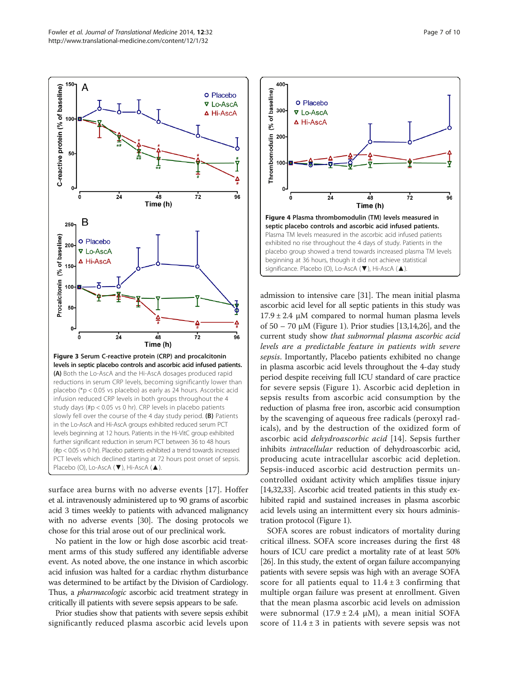<span id="page-6-0"></span>

surface area burns with no adverse events [[17](#page-8-0)]. Hoffer et al. intravenously administered up to 90 grams of ascorbic acid 3 times weekly to patients with advanced malignancy with no adverse events [[30\]](#page-9-0). The dosing protocols we chose for this trial arose out of our preclinical work.

No patient in the low or high dose ascorbic acid treatment arms of this study suffered any identifiable adverse event. As noted above, the one instance in which ascorbic acid infusion was halted for a cardiac rhythm disturbance was determined to be artifact by the Division of Cardiology. Thus, a *pharmacologic* ascorbic acid treatment strategy in critically ill patients with severe sepsis appears to be safe.

Prior studies show that patients with severe sepsis exhibit significantly reduced plasma ascorbic acid levels upon



admission to intensive care [[31](#page-9-0)]. The mean initial plasma ascorbic acid level for all septic patients in this study was  $17.9 \pm 2.4$  μM compared to normal human plasma levels of  $50 - 70 \mu M$  (Figure [1](#page-5-0)). Prior studies [\[13,14](#page-8-0),[26](#page-9-0)], and the current study show that subnormal plasma ascorbic acid levels are a predictable feature in patients with severe sepsis. Importantly, Placebo patients exhibited no change in plasma ascorbic acid levels throughout the 4-day study period despite receiving full ICU standard of care practice for severe sepsis (Figure [1\)](#page-5-0). Ascorbic acid depletion in sepsis results from ascorbic acid consumption by the reduction of plasma free iron, ascorbic acid consumption by the scavenging of aqueous free radicals (peroxyl radicals), and by the destruction of the oxidized form of ascorbic acid dehydroascorbic acid [\[14](#page-8-0)]. Sepsis further inhibits intracellular reduction of dehydroascorbic acid, producing acute intracellular ascorbic acid depletion. Sepsis-induced ascorbic acid destruction permits uncontrolled oxidant activity which amplifies tissue injury [[14](#page-8-0),[32,33\]](#page-9-0). Ascorbic acid treated patients in this study exhibited rapid and sustained increases in plasma ascorbic acid levels using an intermittent every six hours administration protocol (Figure [1](#page-5-0)).

SOFA scores are robust indicators of mortality during critical illness. SOFA score increases during the first 48 hours of ICU care predict a mortality rate of at least 50% [[26](#page-9-0)]. In this study, the extent of organ failure accompanying patients with severe sepsis was high with an average SOFA score for all patients equal to  $11.4 \pm 3$  confirming that multiple organ failure was present at enrollment. Given that the mean plasma ascorbic acid levels on admission were subnormal  $(17.9 \pm 2.4 \mu M)$ , a mean initial SOFA score of  $11.4 \pm 3$  in patients with severe sepsis was not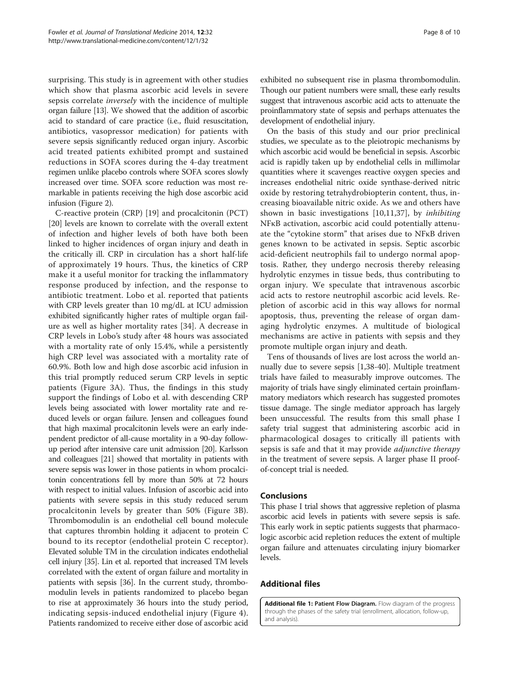<span id="page-7-0"></span>surprising. This study is in agreement with other studies which show that plasma ascorbic acid levels in severe sepsis correlate inversely with the incidence of multiple organ failure [\[13\]](#page-8-0). We showed that the addition of ascorbic acid to standard of care practice (i.e., fluid resuscitation, antibiotics, vasopressor medication) for patients with severe sepsis significantly reduced organ injury. Ascorbic acid treated patients exhibited prompt and sustained reductions in SOFA scores during the 4-day treatment regimen unlike placebo controls where SOFA scores slowly increased over time. SOFA score reduction was most remarkable in patients receiving the high dose ascorbic acid infusion (Figure [2](#page-5-0)).

C-reactive protein (CRP) [\[19](#page-8-0)] and procalcitonin (PCT) [[20\]](#page-8-0) levels are known to correlate with the overall extent of infection and higher levels of both have both been linked to higher incidences of organ injury and death in the critically ill. CRP in circulation has a short half-life of approximately 19 hours. Thus, the kinetics of CRP make it a useful monitor for tracking the inflammatory response produced by infection, and the response to antibiotic treatment. Lobo et al. reported that patients with CRP levels greater than 10 mg/dL at ICU admission exhibited significantly higher rates of multiple organ failure as well as higher mortality rates [\[34](#page-9-0)]. A decrease in CRP levels in Lobo's study after 48 hours was associated with a mortality rate of only 15.4%, while a persistently high CRP level was associated with a mortality rate of 60.9%. Both low and high dose ascorbic acid infusion in this trial promptly reduced serum CRP levels in septic patients (Figure [3A](#page-6-0)). Thus, the findings in this study support the findings of Lobo et al. with descending CRP levels being associated with lower mortality rate and reduced levels or organ failure. Jensen and colleagues found that high maximal procalcitonin levels were an early independent predictor of all-cause mortality in a 90-day followup period after intensive care unit admission [\[20\]](#page-8-0). Karlsson and colleagues [\[21](#page-8-0)] showed that mortality in patients with severe sepsis was lower in those patients in whom procalcitonin concentrations fell by more than 50% at 72 hours with respect to initial values. Infusion of ascorbic acid into patients with severe sepsis in this study reduced serum procalcitonin levels by greater than 50% (Figure [3](#page-6-0)B). Thrombomodulin is an endothelial cell bound molecule that captures thrombin holding it adjacent to protein C bound to its receptor (endothelial protein C receptor). Elevated soluble TM in the circulation indicates endothelial cell injury [[35\]](#page-9-0). Lin et al. reported that increased TM levels correlated with the extent of organ failure and mortality in patients with sepsis [\[36](#page-9-0)]. In the current study, thrombomodulin levels in patients randomized to placebo began to rise at approximately 36 hours into the study period, indicating sepsis-induced endothelial injury (Figure [4](#page-6-0)). Patients randomized to receive either dose of ascorbic acid exhibited no subsequent rise in plasma thrombomodulin. Though our patient numbers were small, these early results suggest that intravenous ascorbic acid acts to attenuate the proinflammatory state of sepsis and perhaps attenuates the development of endothelial injury.

On the basis of this study and our prior preclinical studies, we speculate as to the pleiotropic mechanisms by which ascorbic acid would be beneficial in sepsis. Ascorbic acid is rapidly taken up by endothelial cells in millimolar quantities where it scavenges reactive oxygen species and increases endothelial nitric oxide synthase-derived nitric oxide by restoring tetrahydrobiopterin content, thus, increasing bioavailable nitric oxide. As we and others have shown in basic investigations [\[10](#page-8-0),[11,](#page-8-0)[37\]](#page-9-0), by inhibiting NFκB activation, ascorbic acid could potentially attenuate the "cytokine storm" that arises due to NFκB driven genes known to be activated in sepsis. Septic ascorbic acid-deficient neutrophils fail to undergo normal apoptosis. Rather, they undergo necrosis thereby releasing hydrolytic enzymes in tissue beds, thus contributing to organ injury. We speculate that intravenous ascorbic acid acts to restore neutrophil ascorbic acid levels. Repletion of ascorbic acid in this way allows for normal apoptosis, thus, preventing the release of organ damaging hydrolytic enzymes. A multitude of biological mechanisms are active in patients with sepsis and they promote multiple organ injury and death.

Tens of thousands of lives are lost across the world annually due to severe sepsis [\[1](#page-8-0)[,38](#page-9-0)-[40\]](#page-9-0). Multiple treatment trials have failed to measurably improve outcomes. The majority of trials have singly eliminated certain proinflammatory mediators which research has suggested promotes tissue damage. The single mediator approach has largely been unsuccessful. The results from this small phase I safety trial suggest that administering ascorbic acid in pharmacological dosages to critically ill patients with sepsis is safe and that it may provide *adjunctive therapy* in the treatment of severe sepsis. A larger phase II proofof-concept trial is needed.

# Conclusions

This phase I trial shows that aggressive repletion of plasma ascorbic acid levels in patients with severe sepsis is safe. This early work in septic patients suggests that pharmacologic ascorbic acid repletion reduces the extent of multiple organ failure and attenuates circulating injury biomarker levels.

# Additional files

[Additional file 1:](http://www.biomedcentral.com/content/supplementary/1479-5876-12-32-S1.pdf) Patient Flow Diagram. Flow diagram of the progress through the phases of the safety trial (enrollment, allocation, follow-up, and analysis).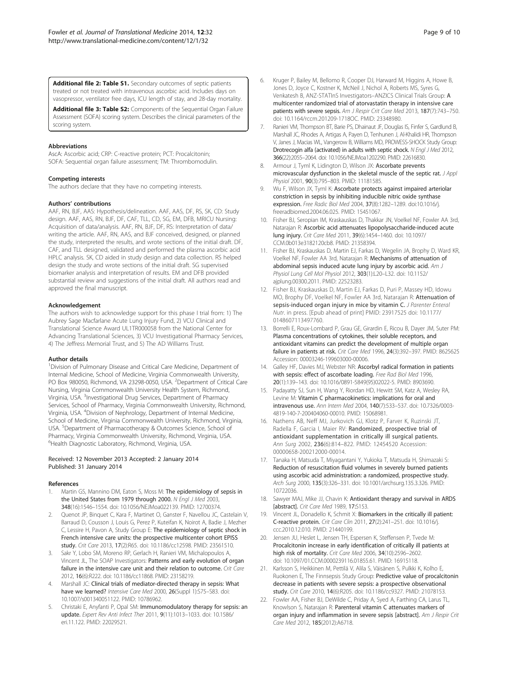<span id="page-8-0"></span>[Additional file 2: Table S1.](http://www.biomedcentral.com/content/supplementary/1479-5876-12-32-S2.pdf) Secondary outcomes of septic patients treated or not treated with intravenous ascorbic acid. Includes days on vasopressor, ventilator free days, ICU length of stay, and 28-day mortality.

[Additional file 3: Table S2:](http://www.biomedcentral.com/content/supplementary/1479-5876-12-32-S3.pdf) Components of the Sequential Organ Failure Assessment (SOFA) scoring system. Describes the clinical parameters of the scoring system.

#### Abbreviations

AscA: Ascorbic acid; CRP: C-reactive protein; PCT: Procalcitonin; SOFA: Sequential organ failure assessment; TM: Thrombomodulin.

#### Competing interests

The authors declare that they have no competing interests.

#### Authors' contributions

AAF, RN, BJF, AAS: Hypothesis/delineation. AAF, AAS, DF, RS, SK, CD: Study design. AAF, AAS, RN, BJF, DF, CAF, TLL, CD, SG, EM, DFB, MRICU Nursing: Acquisition of data/analysis. AAF, RN, BJF, DF, RS: Interpretation of data/ writing the article. AAF, RN, AAS, and BJF conceived, designed, or planned the study, interpreted the results, and wrote sections of the initial draft. DF, CAF, and TLL designed, validated and performed the plasma ascorbic acid HPLC analysis. SK, CD aided in study design and data collection. RS helped design the study and wrote sections of the initial draft. SG supervised biomarker analysis and interpretation of results. EM and DFB provided substantial review and suggestions of the initial draft. All authors read and approved the final manuscript.

#### Acknowledgement

The authors wish to acknowledge support for this phase I trial from: 1) The Aubrey Sage Macfarlane Acute Lung Injury Fund, 2) VCU Clinical and Translational Science Award UL1TR000058 from the National Center for Advancing Translational Sciences, 3) VCU Investigational Pharmacy Services, 4) The Jeffress Memorial Trust, and 5) The AD Williams Trust.

#### Author details

<sup>1</sup> Division of Pulmonary Disease and Critical Care Medicine, Department of Internal Medicine, School of Medicine, Virginia Commonwealth University, PO Box 980050, Richmond, VA 23298-0050, USA. <sup>2</sup>Department of Critical Care Nursing, Virginia Commonwealth University Health System, Richmond, Virginia, USA. <sup>3</sup>Investigational Drug Services, Department of Pharmacy Services, School of Pharmacy, Virginia Commonwealth University, Richmond, Virginia, USA. <sup>4</sup> Division of Nephrology, Department of Internal Medicine, School of Medicine, Virginia Commonwealth University, Richmond, Virginia, USA. <sup>5</sup>Department of Pharmacotherapy & Outcomes Science, School of Pharmacy, Virginia Commonwealth University, Richmond, Virginia, USA. 6 Health Diagnostic Laboratory, Richmond, Virginia, USA.

## Received: 12 November 2013 Accepted: 2 January 2014 Published: 31 January 2014

#### References

- Martin GS, Mannino DM, Eaton S, Moss M: The epidemiology of sepsis in the United States from 1979 through 2000. N Engl J Med 2003, 348(16):1546–1554. doi: 10.1056/NEJMoa022139. PMID: 12700374.
- Quenot JP, Binquet C, Kara F, Martinet O, Ganster F, Navellou JC, Castelain V, Barraud D, Cousson J, Louis G, Perez P, Kuteifan K, Noirot A, Badie J, Mezher C, Lessire H, Pavon A, Study Group E: The epidemiology of septic shock in French intensive care units: the prospective multicenter cohort EPISS study. Crit Care 2013, 17(2):R65. doi: 10.1186/cc12598. PMID: 23561510.
- Sakr Y, Lobo SM, Moreno RP, Gerlach H, Ranieri VM, Michalopoulos A, Vincent JL, The SOAP Investigators: Patterns and early evolution of organ failure in the intensive care unit and their relation to outcome. Crit Care 2012, 16(6):R222. doi: 10.1186/cc11868. PMID: 23158219.
- 4. Marshall JC: Clinical trials of mediator-directed therapy in sepsis: What have we learned? Intensive Care Med 2000, 26(Suppl 1):S75-S83. doi: 10.1007/s001340051122. PMID: 10786962.
- 5. Christaki E, Anyfanti P, Opal SM: Immunomodulatory therapy for sepsis: an update. Expert Rev Anti Infect Ther 2011, 9(11):1013–1033. doi: 10.1586/ eri.11.122. PMID: 22029521.
- 6. Kruger P, Bailey M, Bellomo R, Cooper DJ, Harward M, Higgins A, Howe B, Jones D, Joyce C, Kostner K, McNeil J, Nichol A, Roberts MS, Syres G, Venkatesh B, ANZ-STATInS Investigators–ANZICS Clinical Trials Group: A multicenter randomized trial of atorvastatin therapy in intensive care patients with severe sepsis. Am J Respir Crit Care Med 2013, 187(7):743–750. doi: 10.1164/rccm.201209-1718OC. PMID: 23348980.
- 7. Ranieri VM, Thompson BT, Barie PS, Dhainaut JF, Douglas IS, Finfer S, Gardlund B, Marshall JC, Rhodes A, Artigas A, Payen D, Tenhunen J, Al-Khalidi HR, Thompson V, Janes J, Macias WL, Vangerow B, Williams MD, PROWESS-SHOCK Study Group: Drotrecogin alfa (activated) in adults with septic shock. N Engl J Med 2012, 366(22):2055–2064. doi: 10.1056/NEJMoa1202290. PMID: 22616830.
- 8. Armour J, Tyml K, Lidington D, Wilson JX: Ascorbate prevents microvascular dysfunction in the skeletal muscle of the septic rat. J Appl Physiol 2001, 90(3):795–803. PMID: 11181585.
- 9. Wu F, Wilson JX, Tyml K: Ascorbate protects against impaired arteriolar constriction in sepsis by inhibiting inducible nitric oxide synthase expression. Free Radic Biol Med 2004, 37(8):1282–1289. doi:10.1016/j. freeradbiomed.2004.06.025. PMID: 15451067.
- 10. Fisher BJ, Seropian IM, Kraskauskas D, Thakkar JN, Voelkel NF, Fowler AA 3rd, Natarajan R: Ascorbic acid attenuates lipopolysaccharide-induced acute lung injury. Crit Care Med 2011, 39(6):1454–1460. doi: 10.1097/ CCM.0b013e3182120cb8. PMID: 21358394.
- 11. Fisher BJ, Kraskauskas D, Martin EJ, Farkas D, Wegelin JA, Brophy D, Ward KR, Voelkel NF, Fowler AA 3rd, Natarajan R: Mechanisms of attenuation of abdominal sepsis induced acute lung injury by ascorbic acid. Am J Physiol Lung Cell Mol Physiol 2012, 303(1):L20–L32. doi: 10.1152/ ajplung.00300.2011. PMID: 22523283.
- 12. Fisher BJ, Kraskauskas D, Martin EJ, Farkas D, Puri P, Massey HD, Idowu MO, Brophy DF, Voelkel NF, Fowler AA 3rd, Natarajan R: Attenuation of sepsis-induced organ injury in mice by vitamin C. J Parenter Enteral Nutr. in press. [Epub ahead of print] PMID: 23917525 doi: 10.1177/ 0148607113497760.
- 13. Borrelli E, Roux-Lombard P, Grau GE, Girardin E, Ricou B, Dayer JM, Suter PM: Plasma concentrations of cytokines, their soluble receptors, and antioxidant vitamins can predict the development of multiple organ failure in patients at risk. Crit Care Med 1996, 24(3):392–397. PMID: 8625625 Accession: 00003246-199603000-00006.
- 14. Galley HF, Davies MJ, Webster NR: Ascorbyl radical formation in patients with sepsis: effect of ascorbate loading. Free Rad Biol Med 1996 20(1):139–143. doi: 10.1016/0891-5849(95)02022-5. PMID: 8903690.
- 15. Padayatty SJ, Sun H, Wang Y, Riordan HD, Hewitt SM, Katz A, Wesley RA, Levine M: Vitamin C pharmacokinetics: implications for oral and intravenous use. Ann Intern Med 2004, 140(7):533–537. doi: 10.7326/0003- 4819-140-7-200404060-00010. PMID: 15068981.
- 16. Nathens AB, Neff MJ, Jurkovich GJ, Klotz P, Farver K, Ruzinski JT, Radella F, Garcia I, Maier RV: Randomized, prospective trial of antioxidant supplementation in critically ill surgical patients. Ann Surg 2002, 236(6):814–822. PMID: 12454520 Accession: 00000658-200212000-00014.
- 17. Tanaka H, Matsuda T, Miyagantani Y, Yukioka T, Matsuda H, Shimazaki S: Reduction of resuscitation fluid volumes in severely burned patients using ascorbic acid administration: a randomized, prospective study. Arch Surg 2000, 135(3):326–331. doi: 10.1001/archsurg.135.3.326. PMID: 10722036.
- 18. Sawyer MAJ, Mike JJ, Chavin K: Antioxidant therapy and survival in ARDS [abstract]. Crit Care Med 1989, 17:S153.
- 19. Vincent JL, Donadello K, Schmit X: Biomarkers in the critically ill patient: C-reactive protein. Crit Care Clin 2011, 27(2):241–251. doi: 10.1016/j. ccc.2010.12.010. PMID: 21440199.
- 20. Jensen JU, Heslet L, Jensen TH, Espersen K, Steffensen P, Tvede M: Procalcitonin increase in early identification of critically ill patients at high risk of mortality. Crit Care Med 2006, 34(10):2596-2602. doi: 10.1097/01.CCM.0000239116.01855.61. PMID: 16915118.
- 21. Karlsson S, Heikkinen M, Pettilä V, Alila S, Väisänen S, Pulkki K, Kolho E, Ruokonen E, The Finnsepsis Study Group: Predictive value of procalcitonin decrease in patients with severe sepsis: a prospective observational study. Crit Care 2010, 14(6):R205. doi: 10.1186/cc9327. PMID: 21078153.
- 22. Fowler AA, Fisher BJ, DeWilde C, Priday A, Syed A, Farthing CA, Larus TL, Knowlson S, Natarajan R: Parenteral vitamin C attenuates markers of organ injury and inflammation in severe sepsis [abstract]. Am J Respir Crit Care Med 2012, 185(2012):A6718.